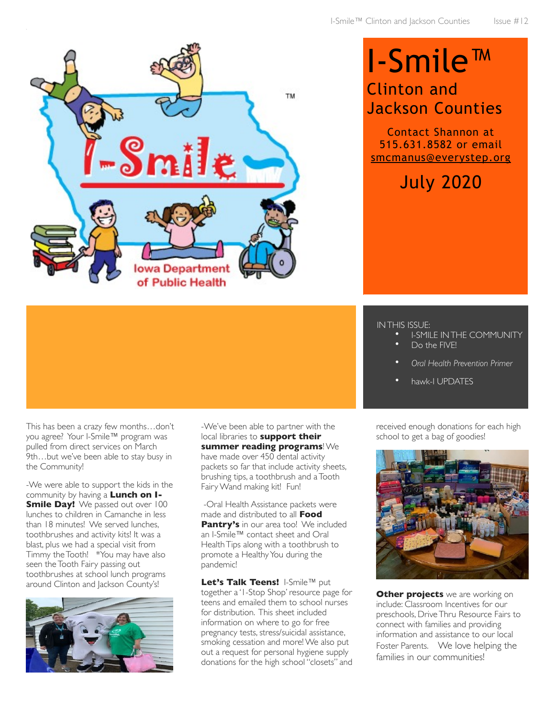

## I-Smile™ Clinton and Jackson Counties

Contact Shannon at 515.631.8582 or email [smcmanus@everystep.org](mailto:smcmanus@everystep.org)

July 2020

## IN THIS ISSUE:

- I-SMILE IN THE COMMUNITY
- Do the FIVE!
- *Oral Health Prevention Primer*
- hawk-I UPDATES

This has been a crazy few months…don't you agree? Your I-Smile™ program was pulled from direct services on March 9th…but we've been able to stay busy in the Community!

-We were able to support the kids in the community by having a **Lunch on I-Smile Day!** We passed out over 100 lunches to children in Camanche in less than 18 minutes! We served lunches, toothbrushes and activity kits! It was a blast, plus we had a special visit from Timmy the Tooth! \*You may have also seen the Tooth Fairy passing out toothbrushes at school lunch programs around Clinton and Jackson County's!



-We've been able to partner with the local libraries to **support their summer reading programs**! We have made over 450 dental activity packets so far that include activity sheets, brushing tips, a toothbrush and a Tooth Fairy Wand making kit! Fun!

 -Oral Health Assistance packets were made and distributed to all **Food Pantry's** in our area too! We included an I-Smile™ contact sheet and Oral Health Tips along with a toothbrush to promote a Healthy You during the pandemic!

**Let's Talk Teens!** I-Smile™ put together a '1-Stop Shop' resource page for teens and emailed them to school nurses for distribution. This sheet included information on where to go for free pregnancy tests, stress/suicidal assistance, smoking cessation and more! We also put out a request for personal hygiene supply donations for the high school "closets" and received enough donations for each high school to get a bag of goodies!



**Other projects** we are working on include: Classroom Incentives for our preschools, Drive Thru Resource Fairs to connect with families and providing information and assistance to our local Foster Parents. We love helping the families in our communities!